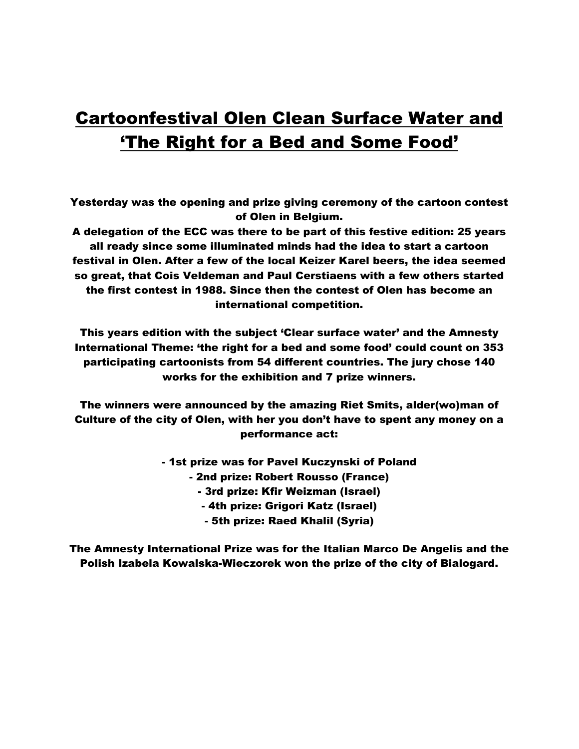# Cartoonfestival Olen [Clean Surface Water and](http://europeancartooncenterkruishoutem.wordpress.com/2013/11/16/cartoonfestival-olen-clean-surface-water-and-the-right-for-a-bed-and-some-food/)  '[The Right for a Bed and Some](http://europeancartooncenterkruishoutem.wordpress.com/2013/11/16/cartoonfestival-olen-clean-surface-water-and-the-right-for-a-bed-and-some-food/) Food'

Yesterday was the opening and prize giving ceremony of the cartoon contest of Olen in Belgium.

A delegation of the ECC was there to be part of this festive edition: 25 years all ready since some illuminated minds had the idea to start a cartoon festival in Olen. After a few of the local Keizer Karel beers, the idea seemed so great, that Cois Veldeman and Paul Cerstiaens with a few others started the first contest in 1988. Since then the contest of Olen has become an international competition.

This years edition with the subject 'Clear surface water' and the Amnesty International Theme: 'the right for a bed and some food' could count on 353 participating cartoonists from 54 different countries. The jury chose 140 works for the exhibition and 7 prize winners.

The winners were announced by the amazing Riet Smits, alder(wo)man of Culture of the city of Olen, with her you don't have to spent any money on a performance act:

- 1st prize was for Pavel Kuczynski of Poland
	- 2nd prize: Robert Rousso (France)
		- 3rd prize: Kfir Weizman (Israel)
		- 4th prize: Grigori Katz (Israel)
		- 5th prize: Raed Khalil (Syria)

The Amnesty International Prize was for the Italian Marco De Angelis and the Polish Izabela Kowalska-Wieczorek won the prize of the city of Bialogard.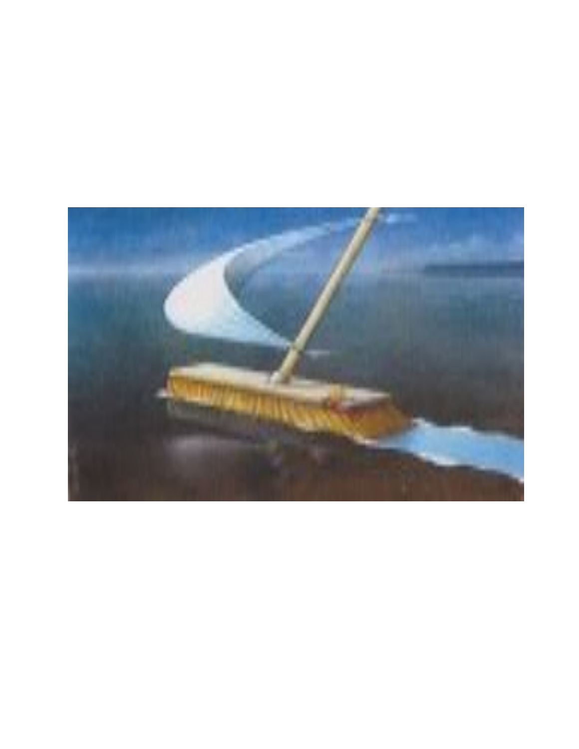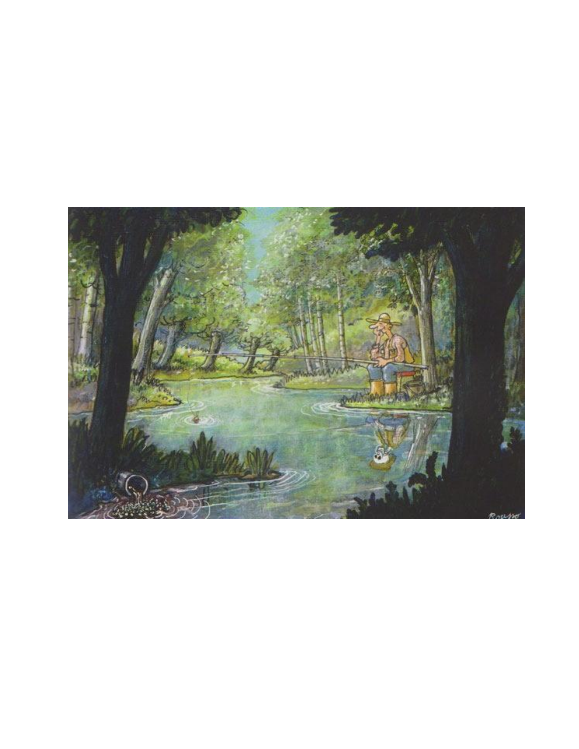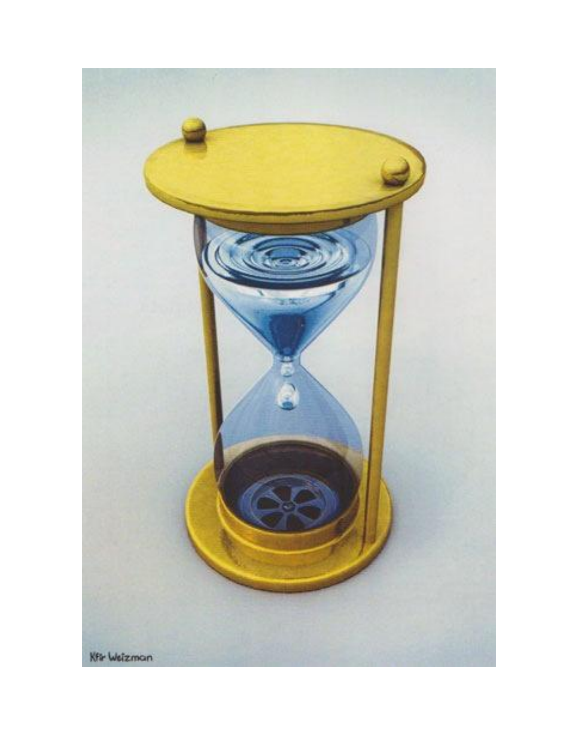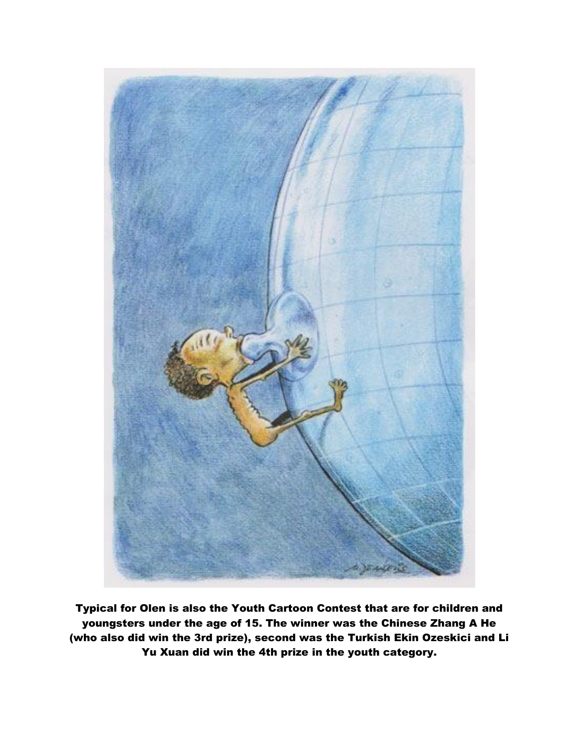

Typical for Olen is also the Youth Cartoon Contest that are for children and youngsters under the age of 15. The winner was the Chinese Zhang A He (who also did win the 3rd prize), second was the Turkish Ekin Ozeskici and Li Yu Xuan did win the 4th prize in the youth category.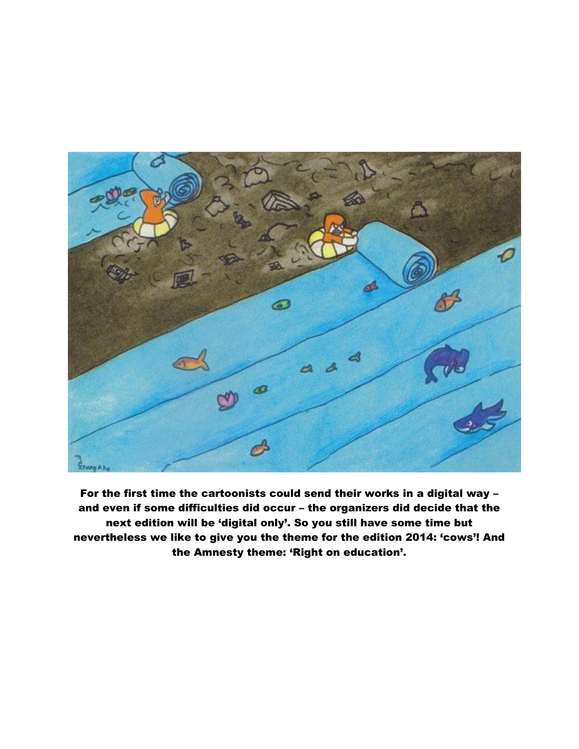

For the first time the cartoonists could send their works in a digital way – and even if some difficulties did occur – the organizers did decide that the next edition will be 'digital only'. So you still have some time but nevertheless we like to give you the theme for the edition 2014: 'cows'! And the Amnesty theme: 'Right on education'.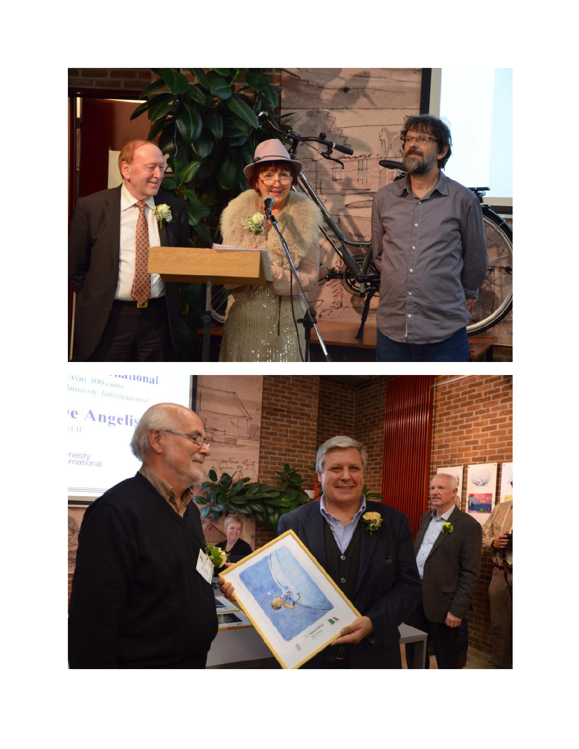

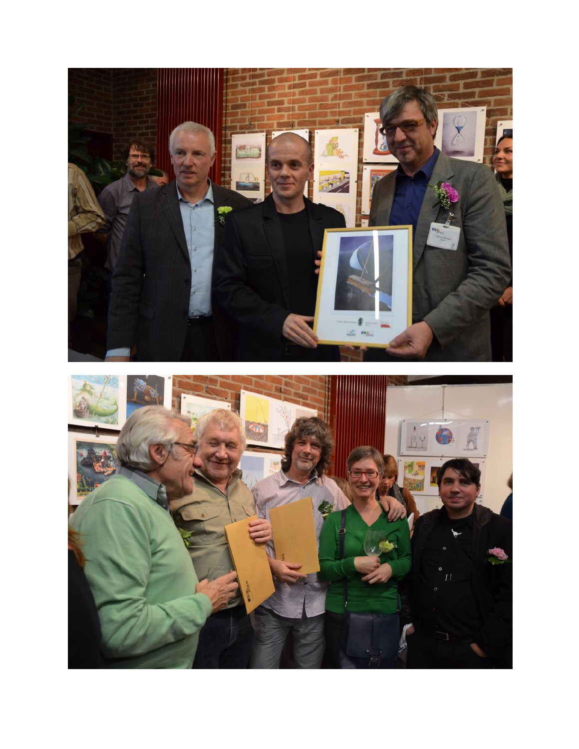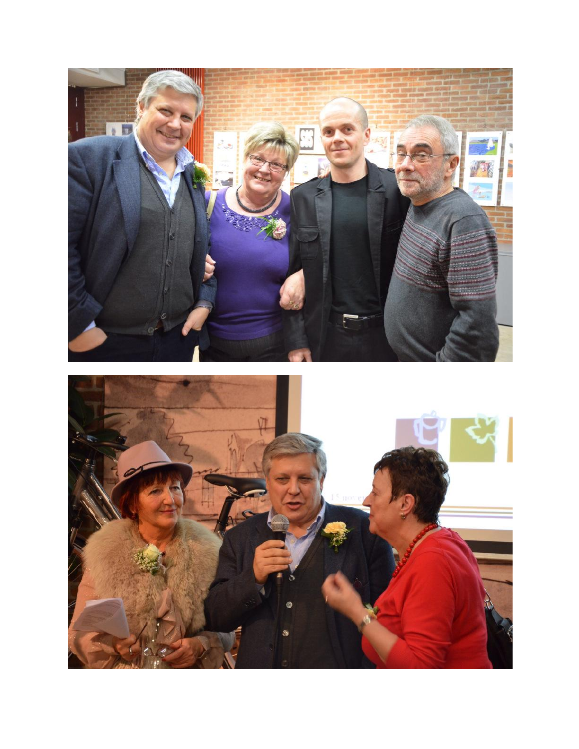![](_page_8_Picture_0.jpeg)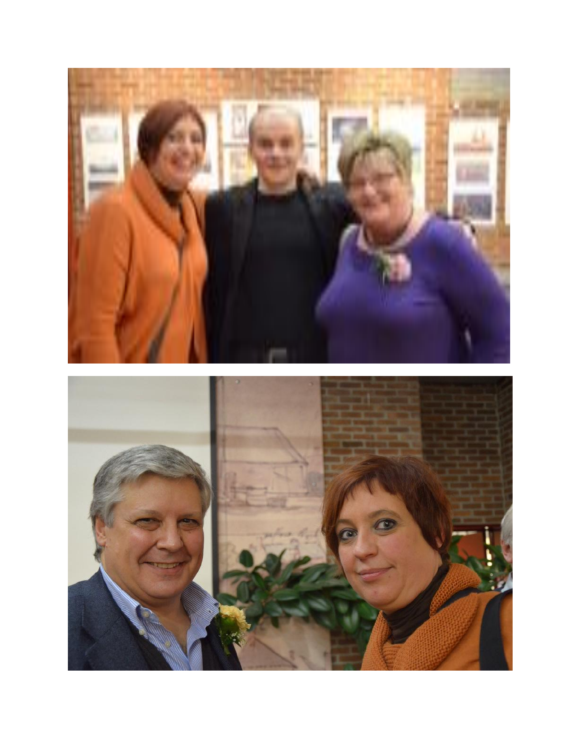![](_page_9_Picture_0.jpeg)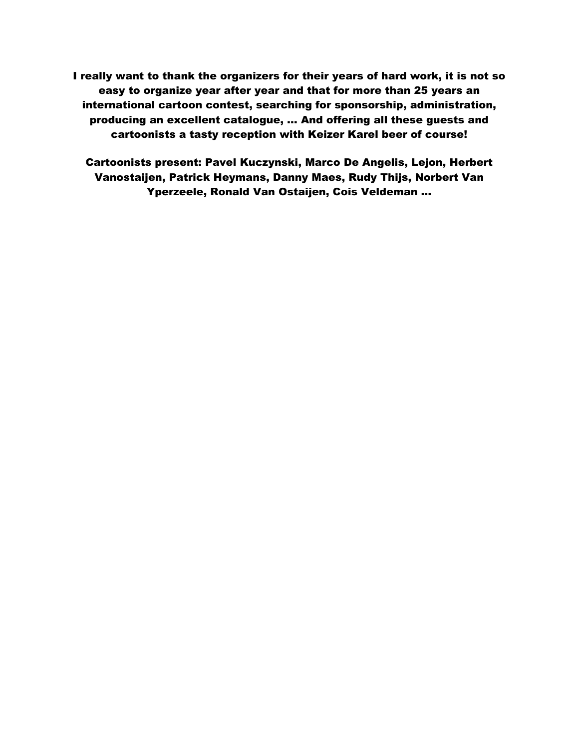I really want to thank the organizers for their years of hard work, it is not so easy to organize year after year and that for more than 25 years an international cartoon contest, searching for sponsorship, administration, producing an excellent catalogue, … And offering all these guests and cartoonists a tasty reception with Keizer Karel beer of course!

Cartoonists present: Pavel Kuczynski, Marco De Angelis, Lejon, Herbert Vanostaijen, Patrick Heymans, Danny Maes, Rudy Thijs, Norbert Van Yperzeele, Ronald Van Ostaijen, Cois Veldeman …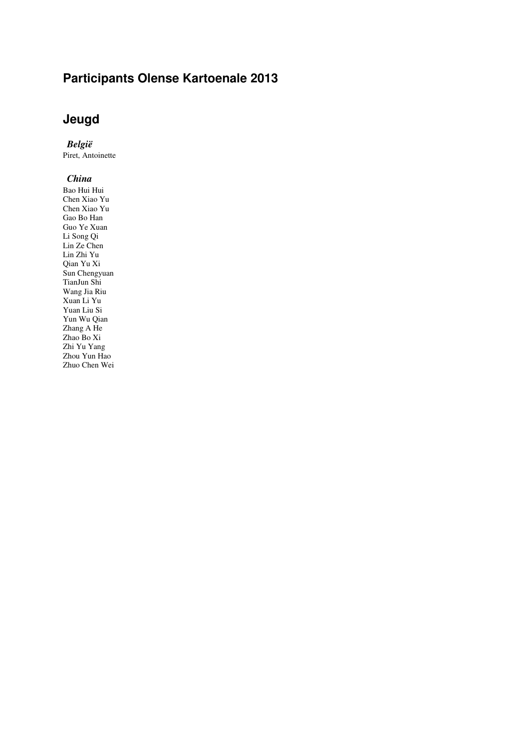# **Participants Olense Kartoenale 2013**

# **Jeugd**

*België*

Piret, Antoinette

# *China*

Bao Hui Hui Chen Xiao Yu Chen Xiao Yu Gao Bo Han Guo Ye Xuan Li Song Qi Lin Ze Chen Lin Zhi Yu Qian Yu Xi Sun Chengyuan TianJun Shi Wang Jia Riu Xuan Li Yu Yuan Liu Si Yun Wu Qian Zhang A He Zhao Bo Xi Zhi Yu Yang Zhou Yun Hao Zhuo Chen Wei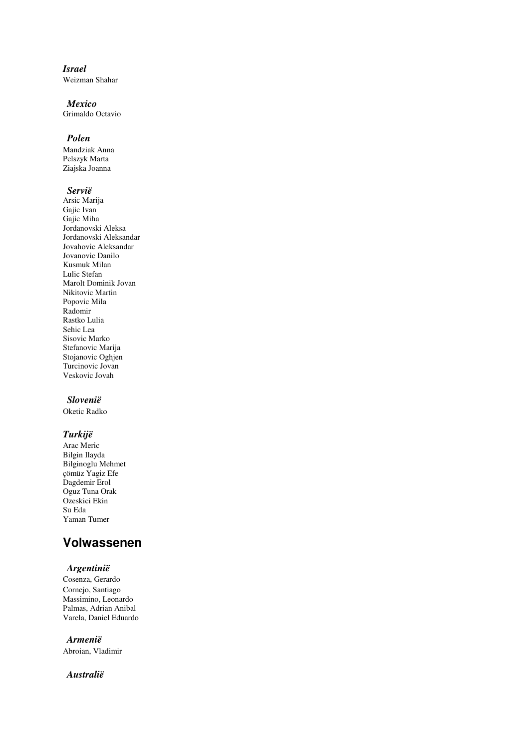# *Israel*

Weizman Shahar

#### *Mexico*

Grimaldo Octavio

# *Polen*

Mandziak Anna Pelszyk Marta Ziajska Joanna

#### *Servië*

Arsic Marija Gajic Ivan Gajic Miha Jordanovski Aleksa Jordanovski Aleksandar Jovahovic Aleksandar Jovanovic Danilo Kusmuk Milan Lulic Stefan Marolt Dominik Jovan Nikitovic Martin Popovic Mila Radomir Rastko Lulia Sehic Lea Sisovic Marko Stefanovic Marija Stojanovic Oghjen Turcinovic Jovan Veskovic Jovah

# *Slovenië*

Oketic Radko

# *Turkijë*

Arac Meric Bilgin Ilayda Bilginoglu Mehmet çömüz Yagiz Efe Dagdemir Erol Oguz Tuna Orak Ozeskici Ekin Su Eda Yaman Tumer

# **Volwassenen**

# *Argentinië*

Cosenza, Gerardo Cornejo, Santiago Massimino, Leonardo Palmas, Adrian Anibal Varela, Daniel Eduardo

*Armenië* Abroian, Vladimir

*Australië*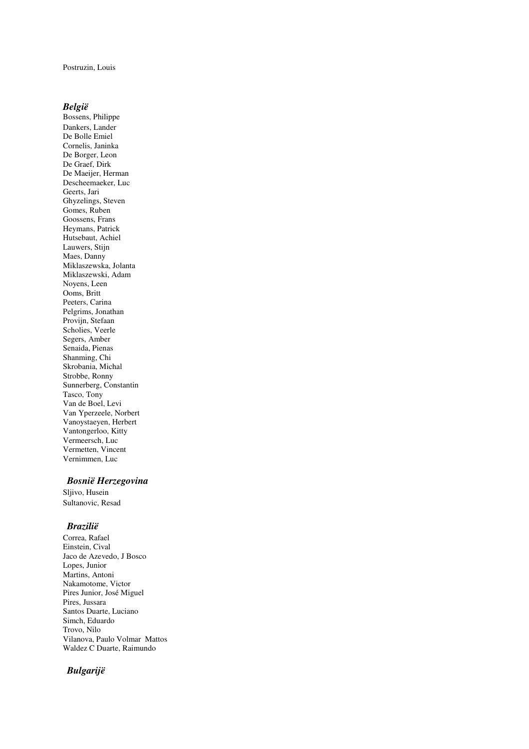Postruzin, Louis

#### *België*

Bossens, Philippe Dankers, Lander De Bolle Emiel Cornelis, Janinka De Borger, Leon De Graef, Dirk De Maeijer, Herman Descheemaeker, Luc Geerts, Jari Ghyzelings, Steven Gomes, Ruben Goossens, Frans Heymans, Patrick Hutsebaut, Achiel Lauwers, Stijn Maes, Danny Miklaszewska, Jolanta Miklaszewski, Adam Noyens, Leen Ooms, Britt Peeters, Carina Pelgrims, Jonathan Provijn, Stefaan Scholies, Veerle Segers, Amber Senaida, Pienas Shanming, Chi Skrobania, Michal Strobbe, Ronny Sunnerberg, Constantin Tasco, Tony Van de Boel, Levi Van Yperzeele, Norbert Vanoystaeyen, Herbert Vantongerloo, Kitty Vermeersch, Luc Vermetten, Vincent Vernimmen, Luc

## *Bosnië Herzegovina*

Sljivo, Husein Sultanovic, Resad

#### *Brazilië*

Correa, Rafael Einstein, Cival Jaco de Azevedo, J Bosco Lopes, Junior Martins, Antoni Nakamotome, Victor Pires Junior, José Miguel Pires, Jussara Santos Duarte, Luciano Simch, Eduardo Trovo, Nilo Vilanova, Paulo Volmar Mattos Waldez C Duarte, Raimundo

# *Bulgarijë*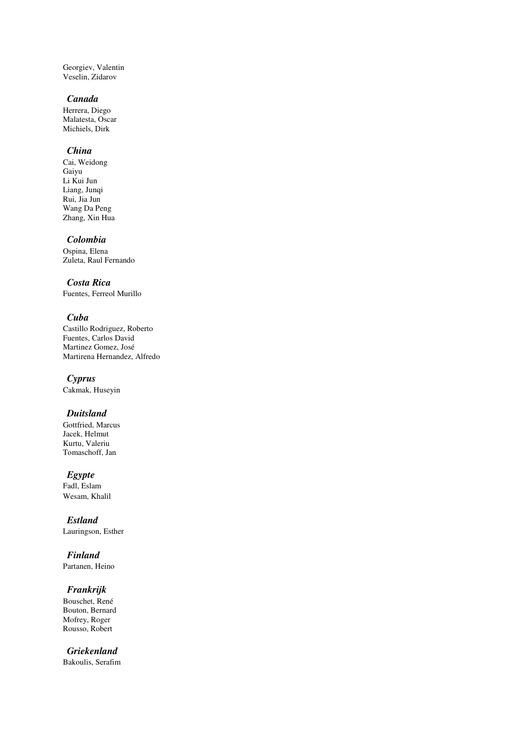Georgiev, Valentin Veselin, Zidarov

#### *Canada*

Herrera, Diego Malatesta, Oscar Michiels, Dirk

# *China*

Cai, Weidong Gaiyu Li Kui Jun Liang, Junqi Rui, Jia Jun Wang Da Peng Zhang, Xin Hua

# *Colombia*

Ospina, Elena Zuleta, Raul Fernando

### *Costa Rica*

Fuentes, Ferreol Murillo

# *Cuba*

Castillo Rodriguez, Roberto Fuentes, Carlos David Martinez Gomez, José Martirena Hernandez, Alfredo

# *Cyprus*

Cakmak, Huseyin

# *Duitsland*

Gottfried, Marcus Jacek, Helmut Kurtu, Valeriu Tomaschoff, Jan

# *Egypte*

Fadl, Eslam Wesam, Khalil

*Estland* Lauringson, Esther

*Finland* Partanen, Heino

# *Frankrijk*

Bouschet, René Bouton, Bernard Mofrey, Roger Rousso, Robert

# *Griekenland*

Bakoulis, Serafim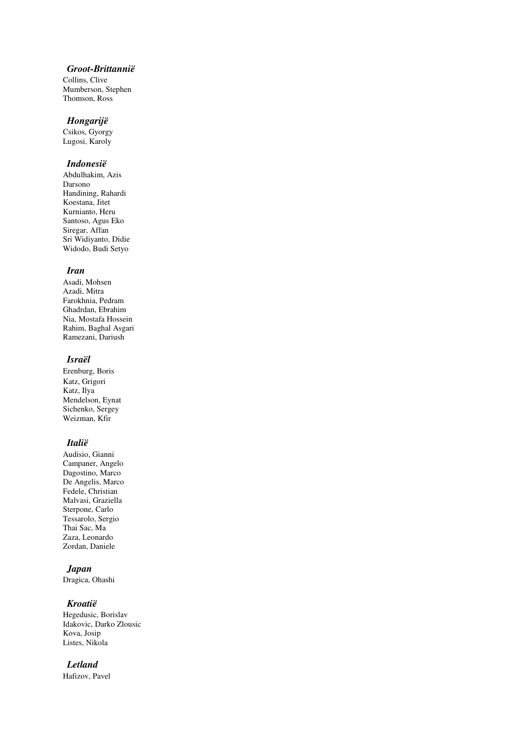# *Groot-Brittannië*

Collins, Clive Mumberson, Stephen Thomson, Ross

#### *Hongarijë*

Csikos, Gyorgy Lugosi, Karoly

# *Indonesië*

Abdulhakim, Azis Darsono Handining, Rahardi Koestana, Jitet Kurnianto, Heru Santoso, Agus Eko Siregar, Affan Sri Widiyanto, Didie Widodo, Budi Setyo

#### *Iran*

Asadi, Mohsen Azadi, Mitra Farokhnia, Pedram Ghadrdan, Ebrahim Nia, Mostafa Hossein Rahim, Baghal Asgari Ramezani, Dariush

#### *Israël*

Erenburg, Boris Katz, Grigori Katz, Ilya Mendelson, Eynat Sichenko, Sergey Weizman, Kfir

### *Italië*

Audisio, Gianni Campaner, Angelo Dagostino, Marco De Angelis, Marco Fedele, Christian Malvasi, Graziella Sterpone, Carlo Tessarolo, Sergio Thai Sac, Ma Zaza, Leonardo Zordan, Daniele

# *Japan*

Dragica, Ohashi

#### *Kroatië*

Hegedusic, Borislav Idakovic, Darko Zlousic Kova, Josip Listes, Nikola

*Letland*

Hafizov, Pavel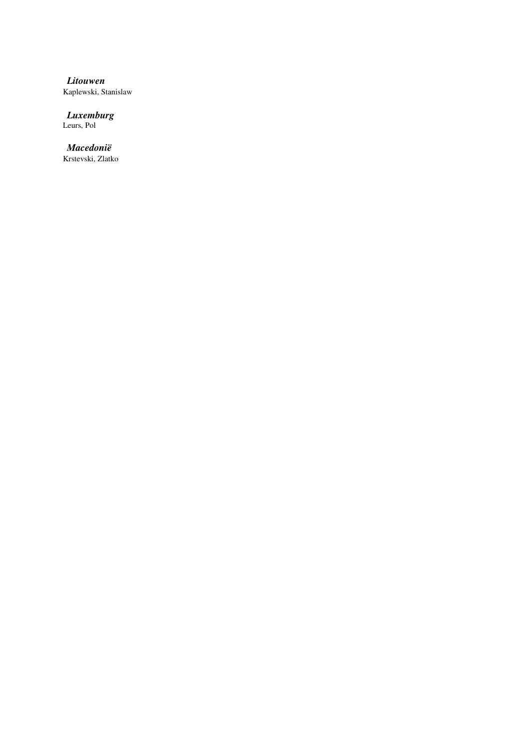*Litouwen* Kaplewski, Stanislaw

*Luxemburg* Leurs, Pol

*Macedonië* Krstevski, Zlatko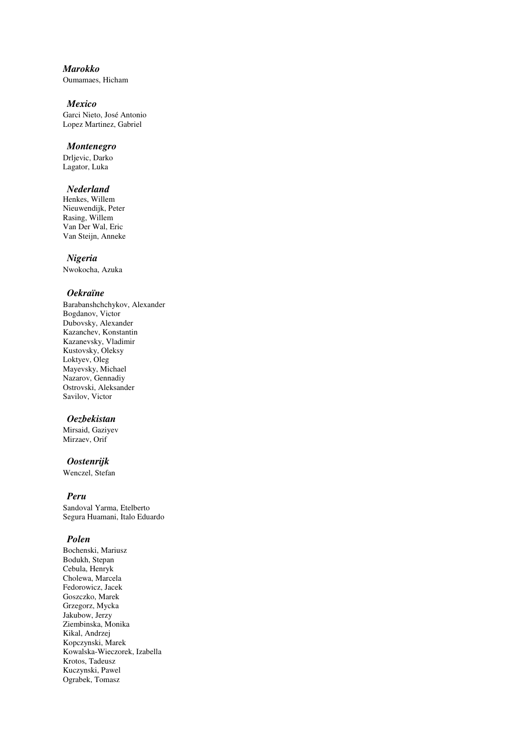# *Marokko*

Oumamaes, Hicham

#### *Mexico*

Garci Nieto, José Antonio Lopez Martinez, Gabriel

## *Montenegro*

Drljevic, Darko Lagator, Luka

# *Nederland*

Henkes, Willem Nieuwendijk, Peter Rasing, Willem Van Der Wal, Eric Van Steijn, Anneke

## *Nigeria*

Nwokocha, Azuka

# *Oekraïne*

Barabanshchchykov, Alexander Bogdanov, Victor Dubovsky, Alexander Kazanchev, Konstantin Kazanevsky, Vladimir Kustovsky, Oleksy Loktyev, Oleg Mayevsky, Michael Nazarov, Gennadiy Ostrovski, Aleksander Savilov, Victor

# *Oezbekistan*

Mirsaid, Gaziyev Mirzaev, Orif

#### *Oostenrijk*

Wenczel, Stefan

# *Peru*

Sandoval Yarma, Etelberto Segura Huamani, Italo Eduardo

#### *Polen*

Bochenski, Mariusz Bodukh, Stepan Cebula, Henryk Cholewa, Marcela Fedorowicz, Jacek Goszczko, Marek Grzegorz, Mycka Jakubow, Jerzy Ziembinska, Monika Kikal, Andrzej Kopczynski, Marek Kowalska-Wieczorek, Izabella Krotos, Tadeusz Kuczynski, Pawel Ograbek, Tomasz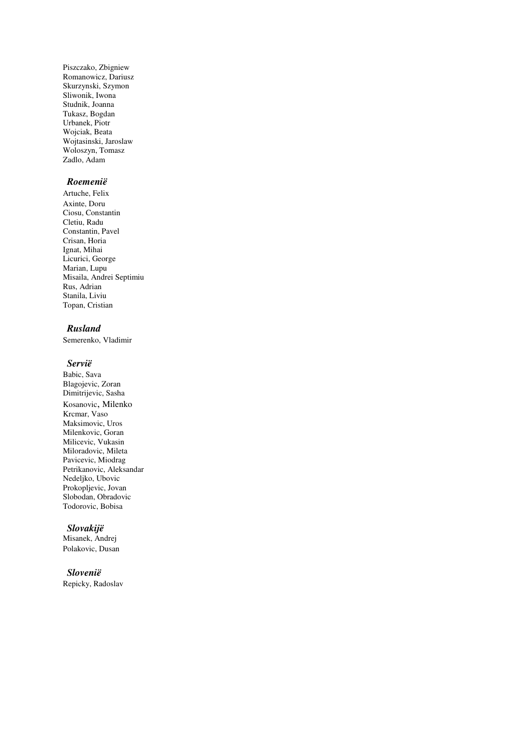Piszczako, Zbigniew Romanowicz, Dariusz Skurzynski, Szymon Sliwonik, Iwona Studnik, Joanna Tukasz, Bogdan Urbanek, Piotr Wojciak, Beata Wojtasinski, Jaroslaw Woloszyn, Tomasz Zadlo, Adam

#### *Roemenië*

Artuche, Felix Axinte, Doru Ciosu, Constantin Cletiu, Radu Constantin, Pavel Crisan, Horia Ignat, Mihai Licurici, George Marian, Lupu Misaila, Andrei Septimiu Rus, Adrian Stanila, Liviu Topan, Cristian

# *Rusland*

Semerenko, Vladimir

# *Servië*

Babic, Sava Blagojevic, Zoran Dimitrijevic, Sasha Kosanovic, Milenko Krcmar, Vaso Maksimovic, Uros Milenkovic, Goran Milicevic, Vukasin Miloradovic, Mileta Pavicevic, Miodrag Petrikanovic, Aleksandar Nedeljko, Ubovic Prokopljevic, Jovan Slobodan, Obradovic Todorovic, Bobisa

#### *Slovakijë*

Misanek, Andrej Polakovic, Dusan

*Slovenië* Repicky, Radoslav